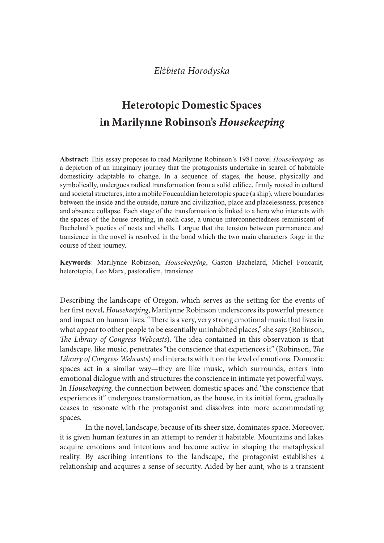# Heterotopic Domestic Spaces in Marilynne Robinson's Housekeeping

Abstract: This essay proposes to read Marilynne Robinson's 1981 novel Housekeeping as a depiction of an imaginary journey that the protagonists undertake in search of habitable Elżbieta Horodyska<br> **Heterotopic Domestic Spaces**<br> **in Marilynne Robinson's Housekeeping**<br>
Abstract: This essay proposes to read Marilynne Robinson's 1981 novel *Housekeeping* as<br>
a depiction of an imaginary journey that t symbolically, undergoes radical transformation from a solid edifice, firmly rooted in cultural and societal structures, into a mobile Foucauldian heterotopic space (a ship), where boundaries between the inside and the outside, nature and civilization, place and placelessness, presence and absence collapse. Each stage of the transformation is linked to a hero who interacts with the spaces of the house creating, in each case, a unique interconnectedness reminiscent of *Eliziotela Horodyska*<br> **Eliziotechemic Spaces**<br> **In Marilynne Robinson's Housekeeping**<br> **Abstract:** This essay proposes to read Marilynne Robinson's 1981 novel *Housekeeping* as<br>
adeptictor of an imaginary journey that th transience in the novel is resolved in the bond which the two main characters forge in the course of their journey.

Keywords: Marilynne Robinson, *Housekeeping*, Gaston Bachelard, Michel Foucault, heterotopia, Leo Marx, pastoralism, transience

Describing the landscape of Oregon, which serves as the setting for the events of her first novel, Housekeeping, Marilynne Robinson underscores its powerful presence and impact on human lives. "There is a very, very strong emotional music that lives in what appear to other people to be essentially uninhabited places," she says (Robinson, The Library of Congress Webcasts). The idea contained in this observation is that landscape, like music, penetrates "the conscience that experiences it" (Robinson, The Library of Congress Webcasts) and interacts with it on the level of emotions. Domestic spaces act in a similar way—they are like music, which surrounds, enters into emotional dialogue with and structures the conscience in intimate yet powerful ways. In Housekeeping, the connection between domestic spaces and "the conscience that experiences it" undergoes transformation, as the house, in its initial form, gradually ceases to resonate with the protagonist and dissolves into more accommodating spaces.

In the novel, landscape, because of its sheer size, dominates space. Moreover, it is given human features in an attempt to render it habitable. Mountains and lakes acquire emotions and intentions and become active in shaping the metaphysical reality. By ascribing intentions to the landscape, the protagonist establishes a relationship and acquires a sense of security. Aided by her aunt, who is a transient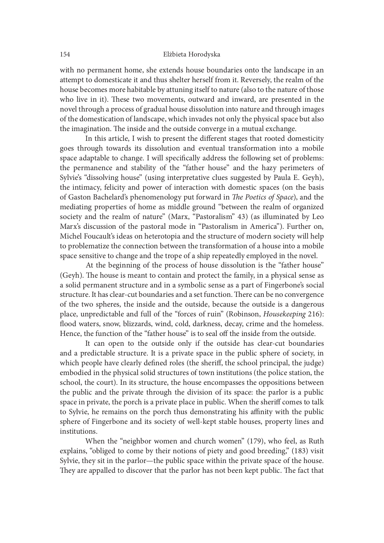with no permanent home, she extends house boundaries onto the landscape in an attempt to domesticate it and thus shelter herself from it. Reversely, the realm of the house becomes more habitable by attuning itself to nature (also to the nature of those who live in it). These two movements, outward and inward, are presented in the novel through a process of gradual house dissolution into nature and through images of the domestication of landscape, which invades not only the physical space but also the imagination. The inside and the outside converge in a mutual exchange.

In this article, I wish to present the different stages that rooted domesticity goes through towards its dissolution and eventual transformation into a mobile space adaptable to change. I will specifically address the following set of problems: the permanence and stability of the "father house" and the hazy perimeters of Sylvie's "dissolving house" (using interpretative clues suggested by Paula E. Geyh), the intimacy, felicity and power of interaction with domestic spaces (on the basis of Gaston Bachelard's phenomenology put forward in The Poetics of Space), and the mediating properties of home as middle ground "between the realm of organized society and the realm of nature" (Marx, "Pastoralism" 43) (as illuminated by Leo Marx's discussion of the pastoral mode in "Pastoralism in America"). Further on, Michel Foucault's ideas on heterotopia and the structure of modern society will help to problematize the connection between the transformation of a house into a mobile space sensitive to change and the trope of a ship repeatedly employed in the novel.

 At the beginning of the process of house dissolution is the "father house" (Geyh). The house is meant to contain and protect the family, in a physical sense as a solid permanent structure and in a symbolic sense as a part of Fingerbone's social structure. It has clear-cut boundaries and a set function. There can be no convergence of the two spheres, the inside and the outside, because the outside is a dangerous place, unpredictable and full of the "forces of ruin" (Robinson, Housekeeping 216): flood waters, snow, blizzards, wind, cold, darkness, decay, crime and the homeless. Hence, the function of the "father house" is to seal off the inside from the outside.

It can open to the outside only if the outside has clear-cut boundaries and a predictable structure. It is a private space in the public sphere of society, in which people have clearly defined roles (the sheriff, the school principal, the judge) embodied in the physical solid structures of town institutions (the police station, the school, the court). In its structure, the house encompasses the oppositions between the public and the private through the division of its space: the parlor is a public space in private, the porch is a private place in public. When the sheriff comes to talk to Sylvie, he remains on the porch thus demonstrating his affinity with the public sphere of Fingerbone and its society of well-kept stable houses, property lines and institutions.

When the "neighbor women and church women" (179), who feel, as Ruth explains, "obliged to come by their notions of piety and good breeding," (183) visit Sylvie, they sit in the parlor—the public space within the private space of the house. They are appalled to discover that the parlor has not been kept public. The fact that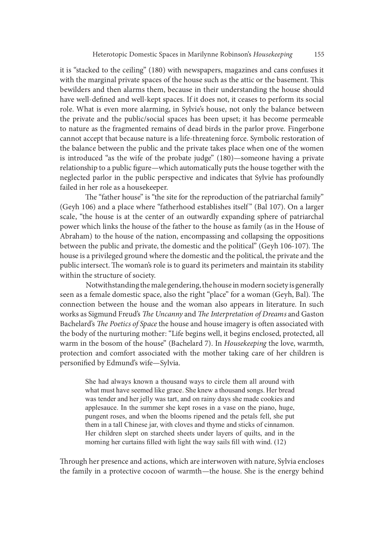it is "stacked to the ceiling" (180) with newspapers, magazines and cans confuses it with the marginal private spaces of the house such as the attic or the basement. This bewilders and then alarms them, because in their understanding the house should have well-defined and well-kept spaces. If it does not, it ceases to perform its social role. What is even more alarming, in Sylvie's house, not only the balance between the private and the public/social spaces has been upset; it has become permeable to nature as the fragmented remains of dead birds in the parlor prove. Fingerbone cannot accept that because nature is a life-threatening force. Symbolic restoration of the balance between the public and the private takes place when one of the women is introduced "as the wife of the probate judge" (180)—someone having a private relationship to a public figure—which automatically puts the house together with the neglected parlor in the public perspective and indicates that Sylvie has profoundly failed in her role as a housekeeper. cannot accept that because nature is a life-threatening force. Symbolic restoration of<br>the balance between the public and the private takes place when one of the women<br>is introduced "as the wife of the probate judge" (180)

The "father house" is "the site for the reproduction of the patriarchal family" scale, "the house is at the center of an outwardly expanding sphere of patriarchal power which links the house of the father to the house as family (as in the House of Abraham) to the house of the nation, encompassing and collapsing the oppositions between the public and private, the domestic and the political" (Geyh 106-107). The house is a privileged ground where the domestic and the political, the private and the public intersect. The woman's role is to guard its perimeters and maintain its stability within the structure of society.

 Notwithstanding the male gendering, the house in modern society is generally seen as a female domestic space, also the right "place" for a woman (Geyh, Bal). The connection between the house and the woman also appears in literature. In such works as Sigmund Freud's The Uncanny and The Interpretation of Dreams and Gaston Bachelard's The Poetics of Space the house and house imagery is often associated with the body of the nurturing mother: "Life begins well, it begins enclosed, protected, all warm in the bosom of the house" (Bachelard 7). In Housekeeping the love, warmth, protection and comfort associated with the mother taking care of her children is personified by Edmund's wife-Sylvia. he structure of society.<br>Notwithstanding the male gendering, the house in modern society is generally Notwithstanding the male gendering, the house in of Geyh, Bal). The<br>ion between the house and the woman also appears in

She had always known a thousand ways to circle them all around with what must have seemed like grace. She knew a thousand songs. Her bread was tender and her jelly was tart, and on rainy days she made cookies and applesauce. In the summer she kept roses in a vase on the piano, huge, pungent roses, and when the blooms ripened and the petals fell, she put them in a tall Chinese jar, with cloves and thyme and sticks of cinnamon.<br>Her children slept on starched sheets under layers of quilts, and in the morning her curtains filled with light the way sails fill with wind.  $(12)$ 

Through her presence and actions, which are interwoven with nature, Sylvia encloses the family in a protective cocoon of warmth—the house. She is the energy behind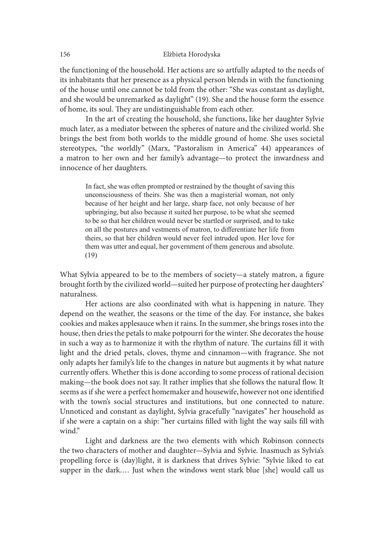the functioning of the household. Her actions are so artfully adapted to the needs of its inhabitants that her presence as a physical person blends in with the functioning of the house until one cannot be told from the other: "She was constant as daylight, and she would be unremarked as daylight" (19). She and the house form the essence of home, its soul. They are undistinguishable from each other.

 In the art of creating the household, she functions, like her daughter Sylvie much later, as a mediator between the spheres of nature and the civilized world. She brings the best from both worlds to the middle ground of home. She uses societal stereotypes, "the worldly" (Marx, "Pastoralism in America" 44) appearances of a matron to her own and her family's advantage—to protect the inwardness and innocence of her daughters.

In fact, she was often prompted or restrained by the thought of saving this unconsciousness of theirs. She was then a magisterial woman, not only because of her height and her large, sharp face, not only because of her upbringing, but also because it suited her purpose, to be what she seemed to be so that her children would never be startled or surprised, and to take on all the postures and vestments of matron, to differentiate her life from theirs, so that her children would never feel intruded upon. Her love for them was utter and equal, her government of them generous and absolute.  $(19)$ 

What Sylvia appeared to be to the members of society—a stately matron, a figure brought forth by the civilized world—suited her purpose of protecting her daughters' naturalness.

Her actions are also coordinated with what is happening in nature. They depend on the weather, the seasons or the time of the day. For instance, she bakes cookies and makes applesauce when it rains. In the summer, she brings roses into the house, then dries the petals to make potpourri for the winter. She decorates the house in such a way as to harmonize it with the rhythm of nature. The curtains fill it with light and the dried petals, cloves, thyme and cinnamon—with fragrance. She not only adapts her family's life to the changes in nature but augments it by what nature currently offers. Whether this is done according to some process of rational decision making—the book does not say. It rather implies that she follows the natural flow. It seems as if she were a perfect homemaker and housewife, however not one identified with the town's social structures and institutions, but one connected to nature. Unnoticed and constant as daylight, Sylvia gracefully "navigates" her household as if she were a captain on a ship: "her curtains filled with light the way sails fill with wind."

Light and darkness are the two elements with which Robinson connects the two characters of mother and daughter—Sylvia and Sylvie. Inasmuch as Sylvia's propelling force is (day)light, it is darkness that drives Sylvie: "Sylvie liked to eat supper in the dark.… Just when the windows went stark blue [she] would call us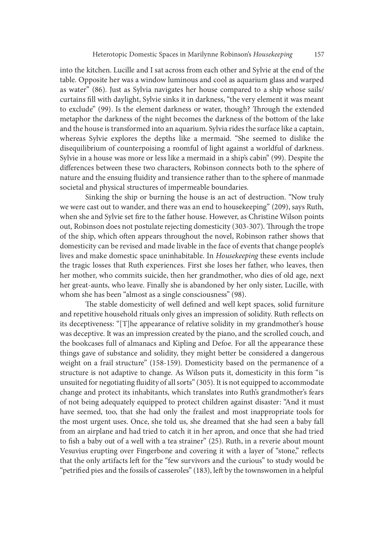into the kitchen. Lucille and I sat across from each other and Sylvie at the end of the table. Opposite her was a window luminous and cool as aquarium glass and warped as water" (86). Just as Sylvia navigates her house compared to a ship whose sails/ curtains fill with daylight, Sylvie sinks it in darkness, "the very element it was meant to exclude" (99). Is the element darkness or water, though? Through the extended metaphor the darkness of the night becomes the darkness of the bottom of the lake and the house is transformed into an aquarium. Sylvia rides the surface like a captain, whereas Sylvie explores the depths like a mermaid. "She seemed to dislike the disequilibrium of counterpoising a roomful of light against a worldful of darkness. Sylvie in a house was more or less like a mermaid in a ship's cabin" (99). Despite the differences between these two characters, Robinson connects both to the sphere of nature and the ensuing fluidity and transience rather than to the sphere of manmade societal and physical structures of impermeable boundaries.

 Sinking the ship or burning the house is an act of destruction. "Now truly we were cast out to wander, and there was an end to housekeeping" (209), says Ruth, when she and Sylvie set fire to the father house. However, as Christine Wilson points out, Robinson does not postulate rejecting domesticity (303-307). Through the trope of the ship, which oten appears throughout the novel, Robinson rather shows that domesticity can be revised and made livable in the face of events that change people's lives and make domestic space uninhabitable. In Housekeeping these events include the tragic losses that Ruth experiences. First she loses her father, who leaves, then her mother, who commits suicide, then her grandmother, who dies of old age, next her great-aunts, who leave. Finally she is abandoned by her only sister, Lucille, with whom she has been "almost as a single consciousness" (98).

The stable domesticity of well defined and well kept spaces, solid furniture and repetitive household rituals only gives an impression of solidity. Ruth reflects on its deceptiveness: "[T]he appearance of relative solidity in my grandmother's house was deceptive. It was an impression created by the piano, and the scrolled couch, and the bookcases full of almanacs and Kipling and Defoe. For all the appearance these things gave of substance and solidity, they might better be considered a dangerous weight on a frail structure" (158-159). Domesticity based on the permanence of a structure is not adaptive to change. As Wilson puts it, domesticity in this form "is unsuited for negotiating {uidity of all sorts" (305). It is not equipped to accommodate change and protect its inhabitants, which translates into Ruth's grandmother's fears of not being adequately equipped to protect children against disaster: "And it must have seemed, too, that she had only the frailest and most inappropriate tools for the most urgent uses. Once, she told us, she dreamed that she had seen a baby fall from an airplane and had tried to catch it in her apron, and once that she had tried to fish a baby out of a well with a tea strainer"  $(25)$ . Ruth, in a reverie about mount Vesuvius erupting over Fingerbone and covering it with a layer of "stone," reflects that the only artifacts left for the "few survivors and the curious" to study would be "petrified pies and the fossils of casseroles" (183), left by the townswomen in a helpful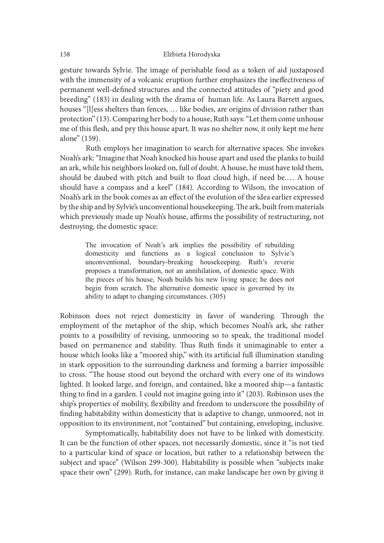gesture towards Sylvie. The image of perishable food as a token of aid juxtaposed with the immensity of a volcanic eruption further emphasizes the ineffectiveness of permanent well-defined structures and the connected attitudes of "piety and good breeding" (183) in dealing with the drama of human life. As Laura Barrett argues, houses "[l]ess shelters than fences, … like bodies, are origins of division rather than protection" (13). Comparing her body to a house, Ruth says: "Let them come unhouse me of this flesh, and pry this house apart. It was no shelter now, it only kept me here alone" (159).

 Ruth employs her imagination to search for alternative spaces. She invokes Noah's ark: "Imagine that Noah knocked his house apart and used the planks to build an ark, while his neighbors looked on, full of doubt. A house, he must have told them, should be daubed with pitch and built to float cloud high, if need be.... A house should have a compass and a keel" (184). According to Wilson, the invocation of Noah's ark in the book comes as an effect of the evolution of the idea earlier expressed by the ship and by Sylvie's unconventional housekeeping. The ark, built from materials which previously made up Noah's house, affirms the possibility of restructuring, not destroying, the domestic space: In (15). Comparing met booy to a notsee, num says: Let tue monome unions<br>is fiesh, and pry this house apart. It was no shelter now, it only kept me here<br>159).<br>Ruth employs her imagination to search for alternative spaces. Is thelt, and pry this house apart. It was no shelter now, it only kept me here<br>IS9).<br>IS9).<br>Ruth employs her imagination to search for alternative spaces. She invokes<br>rk: "Tmagine that Noah knocked his house apart and used

The invocation of Noah's ark implies the possibility of rebuilding domesticity and functions as a logical conclusion to Sylvie's unconventional, boundary-breaking housekeeping. Ruth's reverie proposes a transformation, not an annihilation, of domestic space. With ability to adapt to changing circumstances. (305)

Robinson does not reject domesticity in favor of wandering. Through the employment of the metaphor of the ship, which becomes Noah's ark, she rather points to a possibility of revising, unmooring so to speak, the traditional model based on permanence and stability. Thus Ruth finds it unimaginable to enter a house which looks like a "moored ship," with its artificial full illumination standing in stark opposition to the surrounding darkness and forming a barrier impossible to cross. "The house stood out beyond the orchard with every one of its windows lighted. It looked large, and foreign, and contained, like a moored ship—a fantastic thing to find in a garden. I could not imagine going into it" (203). Robinson uses the ship's properties of mobility, {exibility and freedom to underscore the possibility of finding habitability within domesticity that is adaptive to change, unmoored, not in opposition to its environment, not "contained" but containing, enveloping, inclusive.

Symptomatically, habitability does not have to be linked with domesticity. It can be the function of other spaces, not necessarily domestic, since it "is not tied to a particular kind of space or location, but rather to a relationship between the subject and space" (Wilson 299-300). Habitability is possible when "subjects make space their own" (299). Ruth, for instance, can make landscape her own by giving it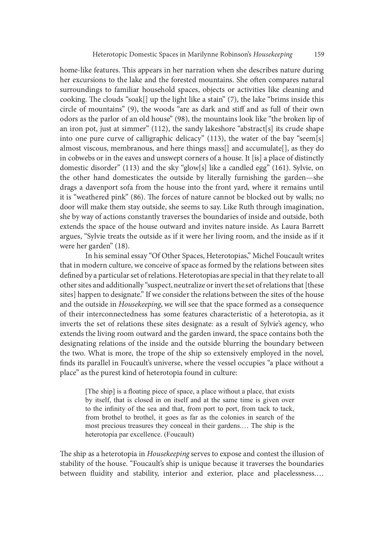home-like features. This appears in her narration when she describes nature during her excursions to the lake and the forested mountains. She oten compares natural surroundings to familiar household spaces, objects or activities like cleaning and cooking. The clouds "soak[] up the light like a stain"  $(7)$ , the lake "brims inside this circle of mountains" (9), the woods "are as dark and stiff and as full of their own odors as the parlor of an old house" (98), the mountains look like "the broken lip of an iron pot, just at simmer" (112), the sandy lakeshore "abstract[s] its crude shape into one pure curve of calligraphic delicacy" (113), the water of the bay "seem[s] almost viscous, membranous, and here things mass[] and accumulate[], as they do in cobwebs or in the eaves and unswept corners of a house. It [is] a place of distinctly domestic disorder" (113) and the sky "glow[s] like a candled egg" (161). Sylvie, on the other hand domesticates the outside by literally furnishing the garden—she drags a davenport sofa from the house into the front yard, where it remains until it is "weathered pink" (86). The forces of nature cannot be blocked out by walls; no door will make them stay outside, she seems to say. Like Ruth through imagination, she by way of actions constantly traverses the boundaries of inside and outside, both extends the space of the house outward and invites nature inside. As Laura Barrett argues, "Sylvie treats the outside as if it were her living room, and the inside as if it were her garden" (18).

In his seminal essay "Of Other Spaces, Heterotopias," Michel Foucault writes that in modern culture, we conceive of space as formed by the relations between sites defined by a particular set of relations. Heterotopias are special in that they relate to all other sites and additionally "suspect, neutralize or invert the set of relations that [these sites] happen to designate." If we consider the relations between the sites of the house and the outside in Housekeeping, we will see that the space formed as a consequence of their interconnectedness has some features characteristic of a heterotopia, as it inverts the set of relations these sites designate: as a result of Sylvie's agency, who extends the living room outward and the garden inward, the space contains both the designating relations of the inside and the outside blurring the boundary between the two. What is more, the trope of the ship so extensively employed in the novel, finds its parallel in Foucault's universe, where the vessel occupies "a place without a place" as the purest kind of heterotopia found in culture: r garden" (18).<br>In his seminal essay "Of Other Spaces, Heterotopias," Michel Foucault writes<br>nodern culture, we conceive of space as formed by the relations between sites<br>by a particular set of relations. Heterotopias are In so sinimal essay of count epectes, rictionoplas, sinicar or actional winter or action of ended in that they relations between sites by a particular set of relations. Heterotopias are special in that they relate to all e

[The ship] is a floating piece of space, a place without a place, that exists to the infinity of the sea and that, from port to port, from tack to tack, most precious treasures they conceal in their gardens.... The ship is the heterotopia par excellence. (Foucault)

The ship as a heterotopia in Housekeeping serves to expose and contest the illusion of stability of the house. "Foucault's ship is unique because it traverses the boundaries between fluidity and stability, interior and exterior, place and placelessness....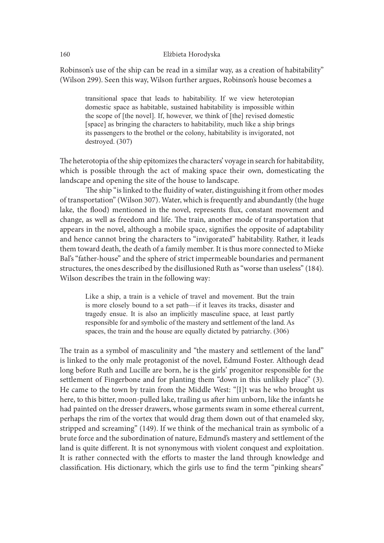Robinson's use of the ship can be read in a similar way, as a creation of habitability" (Wilson 299). Seen this way, Wilson further argues, Robinson's house becomes a

Elzbieta Horodyska<br>m's use of the ship can be read in a similar way, as a creation of habitability"<br>299). Seen this way, Wilson further argues, Robinson's house becomes a<br>transitional space that leads to habitability. If w Elżbieta Horodyska<br>m's use of the ship can be read in a similar way, as a creation of habitability"<br>299). Seen this way, Wilson further argues, Robinson's house becomes a<br>transitional space that leads to habitability. If w the scope of [the novel]. If, however, we think of [the] revised domestic [space] as bringing the characters to habitability, much like a ship brings its passengers to the brothel or the colony, habitability is invigorated, not destroyed. (307)

The heterotopia of the ship epitomizes the characters' voyage in search for habitability, which is possible through the act of making space their own, domesticating the landscape and opening the site of the house to landscape.

The ship "is linked to the fluidity of water, distinguishing it from other modes of transportation" (Wilson 307). Water, which is frequently and abundantly (the huge lake, the flood) mentioned in the novel, represents flux, constant movement and change, as well as freedom and life. The train, another mode of transportation that appears in the novel, although a mobile space, signifies the opposite of adaptability and hence cannot bring the characters to "invigorated" habitability. Rather, it leads them toward death, the death of a family member. It is thus more connected to Mieke Bal's "father-house" and the sphere of strict impermeable boundaries and permanent structures, the ones described by the disillusioned Ruth as "worse than useless" (184). Wilson describes the train in the following way: destroyed. (307)<br>
orotopia of the ship epitomizes the characters' voyage in search for habitability,<br>
spossible through the act of making space their own, domesticating the<br>
ore and opening the site of the house to landsca rotopia of the ship epitomizes the characters' voyage in search for habitability,<br>possible through the act of making space their own, domesticating the<br>e and opening the site of the house to landscape.<br>The ship "is linked

is more closely bound to a set path—if it leaves its tracks, disaster and responsible for and symbolic of the mastery and settlement of the land. As spaces, the train and the house are equally dictated by patriarchy. (306)

The train as a symbol of masculinity and "the mastery and settlement of the land" is linked to the only male protagonist of the novel, Edmund Foster. Although dead long before Ruth and Lucille are born, he is the girls' progenitor responsible for the settlement of Fingerbone and for planting them "down in this unlikely place" (3). He came to the town by train from the Middle West: "[I]t was he who brought us here, to this bitter, moon-pulled lake, trailing us ater him unborn, like the infants he had painted on the dresser drawers, whose garments swam in some ethereal current, perhaps the rim of the vortex that would drag them down out of that enameled sky, stripped and screaming" (149). If we think of the mechanical train as symbolic of a brute force and the subordination of nature, Edmund's mastery and settlement of the land is quite different. It is not synonymous with violent conquest and exploitation. It is rather connected with the efforts to master the land through knowledge and classification. His dictionary, which the girls use to find the term "pinking shears"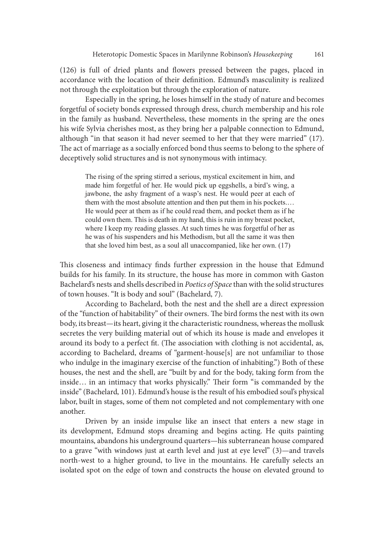(126) is full of dried plants and flowers pressed between the pages, placed in accordance with the location of their definition. Edmund's masculinity is realized not through the exploitation but through the exploration of nature.

Especially in the spring, he loses himself in the study of nature and becomes forgetful of society bonds expressed through dress, church membership and his role in the family as husband. Nevertheless, these moments in the spring are the ones his wife Sylvia cherishes most, as they bring her a palpable connection to Edmund, although "in that season it had never seemed to her that they were married" (17). The act of marriage as a socially enforced bond thus seems to belong to the sphere of deceptively solid structures and is not synonymous with intimacy.

The rising of the spring stirred a serious, mystical excitement in him, and made him forgetful of her. He would pick up eggshells, a bird's wing, a jawbone, the ashy fragment of a wasp's nest. He would peer at each of them with the most absolute attention and then put them in his pockets.... He would peer at them as if he could read them, and pocket them as if he could own them. This is death in my hand, this is ruin in my breast pocket, where I keep my reading glasses. At such times he was forgetful of her as he was of his suspenders and his Methodism, but all the same it was then that she loved him best, as a soul all unaccompanied, like her own.  $(17)$ 

This closeness and intimacy finds further expression in the house that Edmund builds for his family. In its structure, the house has more in common with Gaston Bachelard's nests and shells described in Poetics of Space than with the solid structures of town houses. "It is body and soul" (Bachelard, 7).

According to Bachelard, both the nest and the shell are a direct expression of the "function of habitability" of their owners. The bird forms the nest with its own body, its breast—its heart, giving it the characteristic roundness, whereas the mollusk secretes the very building material out of which its house is made and envelopes it around its body to a perfect fit. (The association with clothing is not accidental, as, according to Bachelard, dreams of "garment-house[s] are not unfamiliar to those who indulge in the imaginary exercise of the function of inhabiting.") Both of these houses, the nest and the shell, are "built by and for the body, taking form from the inside... in an intimacy that works physically." Their form "is commanded by the inside" (Bachelard, 101). Edmund's house is the result of his embodied soul's physical labor, built in stages, some of them not completed and not complementary with one another.

Driven by an inside impulse like an insect that enters a new stage in its development, Edmund stops dreaming and begins acting. He quits painting mountains, abandons his underground quarters—his subterranean house compared to a grave "with windows just at earth level and just at eye level" (3)—and travels north-west to a higher ground, to live in the mountains. He carefully selects an isolated spot on the edge of town and constructs the house on elevated ground to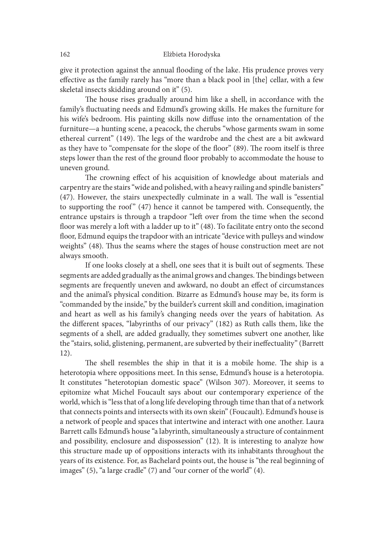give it protection against the annual flooding of the lake. His prudence proves very effective as the family rarely has "more than a black pool in [the] cellar, with a few skeletal insects skidding around on it" (5).

The house rises gradually around him like a shell, in accordance with the family's fluctuating needs and Edmund's growing skills. He makes the furniture for his wife's bedroom. His painting skills now diffuse into the ornamentation of the furniture—a hunting scene, a peacock, the cherubs "whose garments swam in some ethereal current" (149). The legs of the wardrobe and the chest are a bit awkward as they have to "compensate for the slope of the floor" (89). The room itself is three steps lower than the rest of the ground floor probably to accommodate the house to uneven ground.

The crowning effect of his acquisition of knowledge about materials and carpentry are the stairs "wide and polished, with a heavy railing and spindle banisters"  $(47)$ . However, the stairs unexpectedly culminate in a wall. The wall is "essential ethereal current" (149). The legs of the wardrobe and the chest are a bit awkward<br>as they have to "compensate for the slope of the floor" (89). The room itself is three<br>steps lower than the rest of the ground floor probabl entrance upstairs is through a trapdoor "left over from the time when the second floor was merely a loft with a ladder up to it" (48). To facilitate entry onto the second floor, Edmund equips the trapdoor with an intricate "device with pulleys and window weights" (48). Thus the seams where the stages of house construction meet are not always smooth.

If one looks closely at a shell, one sees that it is built out of segments. These segments are added gradually as the animal grows and changes. The bindings between segments are frequently uneven and awkward, no doubt an effect of circumstances and the animal's physical condition. Bizarre as Edmund's house may be, its form is "commanded by the inside," by the builder's current skill and condition, imagination and heart as well as his family's changing needs over the years of habitation. As the different spaces, "labyrinths of our privacy" (182) as Ruth calls them, like the segments of a shell, are added gradually, they sometimes subvert one another, like the "stairs, solid, glistening, permanent, are subverted by their ineffectuality" (Barrett 12).

The shell resembles the ship in that it is a mobile home. The ship is a heterotopia where oppositions meet. In this sense, Edmund's house is a heterotopia. It constitutes "heterotopian domestic space" (Wilson 307). Moreover, it seems to epitomize what Michel Foucault says about our contemporary experience of the world, which is "less that of a long life developing through time than that of a network that connects points and intersects with its own skein" (Foucault). Edmund's house is a network of people and spaces that intertwine and interact with one another. Laura Barrett calls Edmund's house "a labyrinth, simultaneously a structure of containment and possibility, enclosure and dispossession" (12). It is interesting to analyze how this structure made up of oppositions interacts with its inhabitants throughout the years of its existence. For, as Bachelard points out, the house is "the real beginning of images" (5), "a large cradle" (7) and "our corner of the world" (4).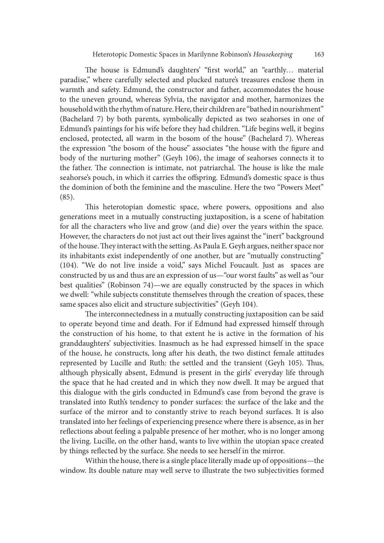The house is Edmund's daughters' "first world," an "earthly... material paradise," where carefully selected and plucked nature's treasures enclose them in warmth and safety. Edmund, the constructor and father, accommodates the house to the uneven ground, whereas Sylvia, the navigator and mother, harmonizes the household with the rhythm of nature. Here, their children are "bathed in nourishment" (Bachelard 7) by both parents, symbolically depicted as two seahorses in one of Edmund's paintings for his wife before they had children. "Life begins well, it begins enclosed, protected, all warm in the bosom of the house" (Bachelard 7). Whereas the expression "the bosom of the house" associates "the house with the figure and body of the nurturing mother" (Geyh 106), the image of seahorses connects it to the father. The connection is intimate, not patriarchal. The house is like the male seahorse's pouch, in which it carries the offspring. Edmund's domestic space is thus the dominion of both the feminine and the masculine. Here the two "Powers Meet" (85).

This heterotopian domestic space, where powers, oppositions and also generations meet in a mutually constructing juxtaposition, is a scene of habitation for all the characters who live and grow (and die) over the years within the space. However, the characters do not just act out their lives against the "inert" background of the house. They interact with the setting. As Paula E. Geyh argues, neither space nor its inhabitants exist independently of one another, but are "mutually constructing" (104). "We do not live inside a void," says Michel Foucault. Just as spaces are constructed by us and thus are an expression of us—"our worst faults" as well as "our best qualities" (Robinson 74)—we are equally constructed by the spaces in which we dwell: "while subjects constitute themselves through the creation of spaces, these same spaces also elicit and structure subjectivities" (Geyh 104).

The interconnectedness in a mutually constructing juxtaposition can be said to operate beyond time and death. For if Edmund had expressed himself through the construction of his home, to that extent he is active in the formation of his granddaughters' subjectivities. Inasmuch as he had expressed himself in the space of the house, he constructs, long ater his death, the two distinct female attitudes represented by Lucille and Ruth: the settled and the transient (Geyh 105). Thus, although physically absent, Edmund is present in the girls' everyday life through the space that he had created and in which they now dwell. It may be argued that this dialogue with the girls conducted in Edmund's case from beyond the grave is translated into Ruth's tendency to ponder surfaces: the surface of the lake and the surface of the mirror and to constantly strive to reach beyond surfaces. It is also translated into her feelings of experiencing presence where there is absence, as in her reflections about feeling a palpable presence of her mother, who is no longer among the living. Lucille, on the other hand, wants to live within the utopian space created by things reflected by the surface. She needs to see herself in the mirror.

Within the house, there is a single place literally made up of oppositions—the window. Its double nature may well serve to illustrate the two subjectivities formed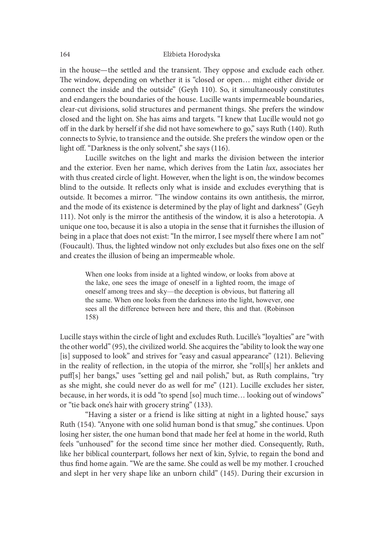in the house—the settled and the transient. They oppose and exclude each other. The window, depending on whether it is "closed or open... might either divide or connect the inside and the outside" (Geyh 110). So, it simultaneously constitutes and endangers the boundaries of the house. Lucille wants impermeable boundaries, clear-cut divisions, solid structures and permanent things. She prefers the window closed and the light on. She has aims and targets. "I knew that Lucille would not go off in the dark by herself if she did not have somewhere to go," says Ruth (140). Ruth connects to Sylvie, to transience and the outside. She prefers the window open or the light off. "Darkness is the only solvent," she says (116).

Lucille switches on the light and marks the division between the interior and the exterior. Even her name, which derives from the Latin lux, associates her with thus created circle of light. However, when the light is on, the window becomes blind to the outside. It reflects only what is inside and excludes everything that is outside. It becomes a mirror. "The window contains its own antithesis, the mirror, and the mode of its existence is determined by the play of light and darkness" (Geyh 111). Not only is the mirror the antithesis of the window, it is also a heterotopia. A unique one too, because it is also a utopia in the sense that it furnishes the illusion of being in a place that does not exist: "In the mirror, I see myself there where I am not" (Foucault). Thus, the lighted window not only excludes but also fixes one on the self and creates the illusion of being an impermeable whole.

When one looks from inside at a lighted window, or looks from above at the lake, one sees the image of oneself in a lighted room, the image of oneself among trees and sky—the deception is obvious, but flattering all the same. When one looks from the darkness into the light, however, one sees all the difference between here and there, this and that, (Robinson 158)

Lucille stays within the circle of light and excludes Ruth. Lucille's "loyalties" are "with the other world" (95), the civilized world. She acquires the "ability to look the way one [is] supposed to look" and strives for "easy and casual appearance" (121). Believing in the reality of reflection, in the utopia of the mirror, she "roll[s] her anklets and puff[s] her bangs," uses "setting gel and nail polish," but, as Ruth complains, "try as she might, she could never do as well for me" (121). Lucille excludes her sister, because, in her words, it is odd "to spend [so] much time… looking out of windows" or "tie back one's hair with grocery string" (133).

"Having a sister or a friend is like sitting at night in a lighted house," says Ruth (154). "Anyone with one solid human bond is that smug," she continues. Upon losing her sister, the one human bond that made her feel at home in the world, Ruth feels "unhoused" for the second time since her mother died. Consequently, Ruth, like her biblical counterpart, follows her next of kin, Sylvie, to regain the bond and thus find home again. "We are the same. She could as well be my mother. I crouched and slept in her very shape like an unborn child" (145). During their excursion in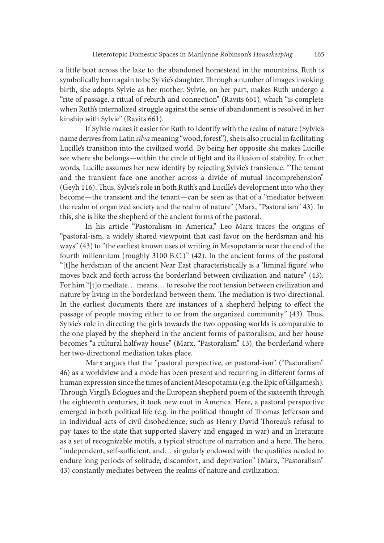a little boat across the lake to the abandoned homestead in the mountains, Ruth is symbolically born again to be Sylvie's daughter. Through a number of images invoking birth, she adopts Sylvie as her mother. Sylvie, on her part, makes Ruth undergo a "rite of passage, a ritual of rebirth and connection" (Ravits 661), which "is complete when Ruth's internalized struggle against the sense of abandonment is resolved in her kinship with Sylvie" (Ravits 661).

If Sylvie makes it easier for Ruth to identify with the realm of nature (Sylvie's name derives from Latin silva meaning "wood, forest"), she is also crucial in facilitating Lucille's transition into the civilized world. By being her opposite she makes Lucille see where she belongs—within the circle of light and its illusion of stability. In other words, Lucille assumes her new identity by rejecting Sylvie's transience. "The tenant and the transient face one another across a divide of mutual incomprehension" (Geyh 116). Thus, Sylvie's role in both Ruth's and Lucille's development into who they become—the transient and the tenant—can be seen as that of a "mediator between the realm of organized society and the realm of nature" (Marx, "Pastoralism" 43). In this, she is like the shepherd of the ancient forms of the pastoral.

In his article "Pastoralism in America," Leo Marx traces the origins of "pastoral-ism, a widely shared viewpoint that cast favor on the herdsman and his ways" (43) to "the earliest known uses of writing in Mesopotamia near the end of the fourth millennium (roughly 3100 B.C.)" (42). In the ancient forms of the pastoral "[t]he herdsman of the ancient Near East characteristically is a 'liminal figure' who moves back and forth across the borderland between civilization and nature" (43). For him "[t]o mediate… means… to resolve the root tension between civilization and nature by living in the borderland between them. The mediation is two-directional. In the earliest documents there are instances of a shepherd helping to effect the passage of people moving either to or from the organized community" (43). Thus, Sylvie's role in directing the girls towards the two opposing worlds is comparable to the one played by the shepherd in the ancient forms of pastoralism, and her house becomes "a cultural halfway house" (Marx, "Pastoralism" 43), the borderland where her two-directional mediation takes place.

 Marx argues that the "pastoral perspective, or pastoral-ism" ("Pastoralism" 46) as a worldview and a mode has been present and recurring in different forms of human expression since the times of ancient Mesopotamia (e.g. the Epic of Gilgamesh). Through Virgil's Eclogues and the European shepherd poem of the sixteenth through the eighteenth centuries, it took new root in America. Here, a pastoral perspective emerged in both political life (e.g. in the political thought of Thomas Jefferson and in individual acts of civil disobedience, such as Henry David Thoreau's refusal to pay taxes to the state that supported slavery and engaged in war) and in literature as a set of recognizable motifs, a typical structure of narration and a hero. The hero, "independent, self-sufficient, and... singularly endowed with the qualities needed to endure long periods of solitude, discomfort, and deprivation" (Marx, "Pastoralism" 43) constantly mediates between the realms of nature and civilization.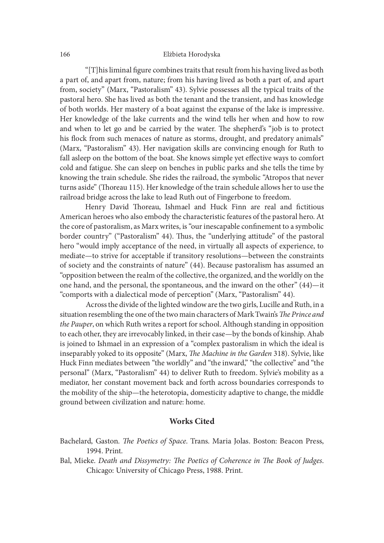" $[T]$ his liminal figure combines traits that result from his having lived as both a part of, and apart from, nature; from his having lived as both a part of, and apart from, society" (Marx, "Pastoralism" 43). Sylvie possesses all the typical traits of the pastoral hero. She has lived as both the tenant and the transient, and has knowledge of both worlds. Her mastery of a boat against the expanse of the lake is impressive. Her knowledge of the lake currents and the wind tells her when and how to row and when to let go and be carried by the water. The shepherd's "job is to protect his flock from such menaces of nature as storms, drought, and predatory animals" (Marx, "Pastoralism" 43). Her navigation skills are convincing enough for Ruth to fall asleep on the bottom of the boat. She knows simple yet effective ways to comfort cold and fatigue. She can sleep on benches in public parks and she tells the time by knowing the train schedule. She rides the railroad, the symbolic "Atropos that never turns aside" (Thoreau 115). Her knowledge of the train schedule allows her to use the railroad bridge across the lake to lead Ruth out of Fingerbone to freedom.

Henry David Thoreau, Ishmael and Huck Finn are real and fictitious American heroes who also embody the characteristic features of the pastoral hero. At the core of pastoralism, as Marx writes, is "our inescapable confinement to a symbolic border country" ("Pastoralism" 44). Thus, the "underlying attitude" of the pastoral hero "would imply acceptance of the need, in virtually all aspects of experience, to mediate—to strive for acceptable if transitory resolutions—between the constraints of society and the constraints of nature" (44). Because pastoralism has assumed an "opposition between the realm of the collective, the organized, and the worldly on the one hand, and the personal, the spontaneous, and the inward on the other" (44)—it "comports with a dialectical mode of perception" (Marx, "Pastoralism" 44).

Across the divide of the lighted window are the two girls, Lucille and Ruth, in a situation resembling the one of the two main characters of Mark Twain's The Prince and the Pauper, on which Ruth writes a report for school. Although standing in opposition to each other, they are irrevocably linked, in their case—by the bonds of kinship. Ahab is joined to Ishmael in an expression of a "complex pastoralism in which the ideal is inseparably yoked to its opposite" (Marx, The Machine in the Garden 318). Sylvie, like Huck Finn mediates between "the worldly" and "the inward," "the collective" and "the personal" (Marx, "Pastoralism" 44) to deliver Ruth to freedom. Sylvie's mobility as a mediator, her constant movement back and forth across boundaries corresponds to the mobility of the ship—the heterotopia, domesticity adaptive to change, the middle ground between civilization and nature: home.

### Works Cited

- Bachelard, Gaston. The Poetics of Space. Trans. Maria Jolas. Boston: Beacon Press, 1994. Print.
- Bal, Mieke. Death and Dissymetry: The Poetics of Coherence in The Book of Judges.<br>Chicago: University of Chicago Press, 1988. Print.